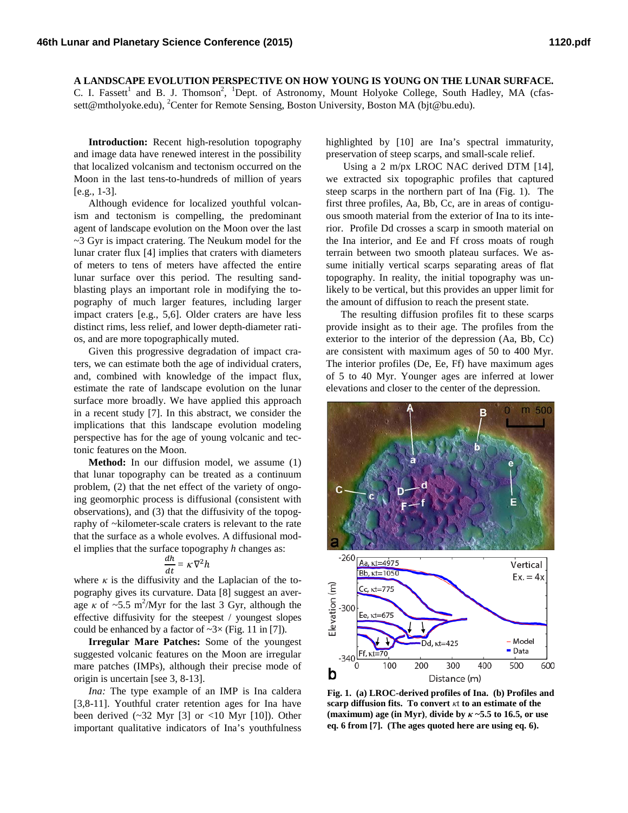**A LANDSCAPE EVOLUTION PERSPECTIVE ON HOW YOUNG IS YOUNG ON THE LUNAR SURFACE.** 

C. I. Fassett<sup>1</sup> and B. J. Thomson<sup>2</sup>, <sup>1</sup>Dept. of Astronomy, Mount Holyoke College, South Hadley, MA (cfassett@mtholyoke.edu), <sup>2</sup>Center for Remote Sensing, Boston University, Boston MA (bjt@bu.edu).

**Introduction:** Recent high-resolution topography and image data have renewed interest in the possibility that localized volcanism and tectonism occurred on the Moon in the last tens-to-hundreds of million of years [e.g., 1-3].

Although evidence for localized youthful volcanism and tectonism is compelling, the predominant agent of landscape evolution on the Moon over the last  $\sim$ 3 Gyr is impact cratering. The Neukum model for the lunar crater flux [4] implies that craters with diameters of meters to tens of meters have affected the entire lunar surface over this period. The resulting sandblasting plays an important role in modifying the topography of much larger features, including larger impact craters [e.g., 5,6]. Older craters are have less distinct rims, less relief, and lower depth-diameter ratios, and are more topographically muted.

Given this progressive degradation of impact craters, we can estimate both the age of individual craters, and, combined with knowledge of the impact flux, estimate the rate of landscape evolution on the lunar surface more broadly. We have applied this approach in a recent study [7]. In this abstract, we consider the implications that this landscape evolution modeling perspective has for the age of young volcanic and tectonic features on the Moon.

**Method:** In our diffusion model, we assume (1) that lunar topography can be treated as a continuum problem, (2) that the net effect of the variety of ongoing geomorphic process is diffusional (consistent with observations), and (3) that the diffusivity of the topography of ~kilometer-scale craters is relevant to the rate that the surface as a whole evolves. A diffusional model implies that the surface topography *h* changes as:

$$
\frac{dh}{dt} = \kappa \nabla^2 h
$$

where  $\kappa$  is the diffusivity and the Laplacian of the topography gives its curvature. Data [8] suggest an average  $\kappa$  of  $\sim$ 5.5 m<sup>2</sup>/Myr for the last 3 Gyr, although the effective diffusivity for the steepest / youngest slopes could be enhanced by a factor of  $\sim 3 \times$  (Fig. 11 in [7]).

**Irregular Mare Patches:** Some of the youngest suggested volcanic features on the Moon are irregular mare patches (IMPs), although their precise mode of origin is uncertain [see 3, 8-13].

*Ina:* The type example of an IMP is Ina caldera [3,8-11]. Youthful crater retention ages for Ina have been derived  $(\sim 32$  Myr [3] or <10 Myr [10]). Other important qualitative indicators of Ina's youthfulness

highlighted by [10] are Ina's spectral immaturity, preservation of steep scarps, and small-scale relief.

Using a 2 m/px LROC NAC derived DTM [14], we extracted six topographic profiles that captured steep scarps in the northern part of Ina (Fig. 1). The first three profiles, Aa, Bb, Cc, are in areas of contiguous smooth material from the exterior of Ina to its interior. Profile Dd crosses a scarp in smooth material on the Ina interior, and Ee and Ff cross moats of rough terrain between two smooth plateau surfaces. We assume initially vertical scarps separating areas of flat topography. In reality, the initial topography was unlikely to be vertical, but this provides an upper limit for the amount of diffusion to reach the present state.

The resulting diffusion profiles fit to these scarps provide insight as to their age. The profiles from the exterior to the interior of the depression (Aa, Bb, Cc) are consistent with maximum ages of 50 to 400 Myr. The interior profiles (De, Ee, Ff) have maximum ages of 5 to 40 Myr. Younger ages are inferred at lower elevations and closer to the center of the depression.



**Fig. 1. (a) LROC-derived profiles of Ina. (b) Profiles and scarp diffusion fits. To convert** *κ*t **to an estimate of the (maximum) age (in Myr)**, **divide by** *κ* **~5.5 to 16.5, or use eq. 6 from [7]. (The ages quoted here are using eq. 6).**